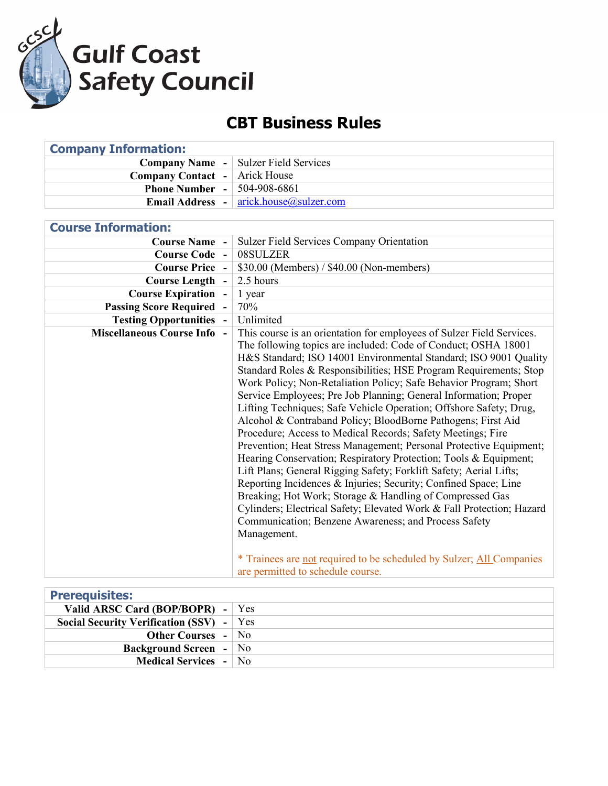

## **CBT Business Rules**

| <b>Company Information:</b>            |                                                                                                                                                                                                                                                                                                                                                                                                                                                                                                                                                                                                                                                                                                                                                                                                                                                                                                                                                                                                                                                                                                                                                                                                                                            |
|----------------------------------------|--------------------------------------------------------------------------------------------------------------------------------------------------------------------------------------------------------------------------------------------------------------------------------------------------------------------------------------------------------------------------------------------------------------------------------------------------------------------------------------------------------------------------------------------------------------------------------------------------------------------------------------------------------------------------------------------------------------------------------------------------------------------------------------------------------------------------------------------------------------------------------------------------------------------------------------------------------------------------------------------------------------------------------------------------------------------------------------------------------------------------------------------------------------------------------------------------------------------------------------------|
| <b>Company Name -</b>                  | <b>Sulzer Field Services</b>                                                                                                                                                                                                                                                                                                                                                                                                                                                                                                                                                                                                                                                                                                                                                                                                                                                                                                                                                                                                                                                                                                                                                                                                               |
| <b>Company Contact</b><br>$\sim$       | <b>Arick House</b>                                                                                                                                                                                                                                                                                                                                                                                                                                                                                                                                                                                                                                                                                                                                                                                                                                                                                                                                                                                                                                                                                                                                                                                                                         |
| <b>Phone Number</b>                    | 504-908-6861                                                                                                                                                                                                                                                                                                                                                                                                                                                                                                                                                                                                                                                                                                                                                                                                                                                                                                                                                                                                                                                                                                                                                                                                                               |
| <b>Email Address</b>                   | arick.house@sulzer.com                                                                                                                                                                                                                                                                                                                                                                                                                                                                                                                                                                                                                                                                                                                                                                                                                                                                                                                                                                                                                                                                                                                                                                                                                     |
|                                        |                                                                                                                                                                                                                                                                                                                                                                                                                                                                                                                                                                                                                                                                                                                                                                                                                                                                                                                                                                                                                                                                                                                                                                                                                                            |
| <b>Course Information:</b>             |                                                                                                                                                                                                                                                                                                                                                                                                                                                                                                                                                                                                                                                                                                                                                                                                                                                                                                                                                                                                                                                                                                                                                                                                                                            |
| <b>Course Name</b>                     | <b>Sulzer Field Services Company Orientation</b>                                                                                                                                                                                                                                                                                                                                                                                                                                                                                                                                                                                                                                                                                                                                                                                                                                                                                                                                                                                                                                                                                                                                                                                           |
| <b>Course Code -</b>                   | 08SULZER                                                                                                                                                                                                                                                                                                                                                                                                                                                                                                                                                                                                                                                                                                                                                                                                                                                                                                                                                                                                                                                                                                                                                                                                                                   |
| <b>Course Price</b>                    | \$30.00 (Members) / \$40.00 (Non-members)                                                                                                                                                                                                                                                                                                                                                                                                                                                                                                                                                                                                                                                                                                                                                                                                                                                                                                                                                                                                                                                                                                                                                                                                  |
| <b>Course Length</b><br>$\blacksquare$ | 2.5 hours                                                                                                                                                                                                                                                                                                                                                                                                                                                                                                                                                                                                                                                                                                                                                                                                                                                                                                                                                                                                                                                                                                                                                                                                                                  |
| <b>Course Expiration</b>               | 1 year                                                                                                                                                                                                                                                                                                                                                                                                                                                                                                                                                                                                                                                                                                                                                                                                                                                                                                                                                                                                                                                                                                                                                                                                                                     |
| <b>Passing Score Required</b>          | 70%                                                                                                                                                                                                                                                                                                                                                                                                                                                                                                                                                                                                                                                                                                                                                                                                                                                                                                                                                                                                                                                                                                                                                                                                                                        |
| <b>Testing Opportunities -</b>         | Unlimited                                                                                                                                                                                                                                                                                                                                                                                                                                                                                                                                                                                                                                                                                                                                                                                                                                                                                                                                                                                                                                                                                                                                                                                                                                  |
| <b>Miscellaneous Course Info</b>       | This course is an orientation for employees of Sulzer Field Services.<br>The following topics are included: Code of Conduct; OSHA 18001<br>H&S Standard; ISO 14001 Environmental Standard; ISO 9001 Quality<br>Standard Roles & Responsibilities; HSE Program Requirements; Stop<br>Work Policy; Non-Retaliation Policy; Safe Behavior Program; Short<br>Service Employees; Pre Job Planning; General Information; Proper<br>Lifting Techniques; Safe Vehicle Operation; Offshore Safety; Drug,<br>Alcohol & Contraband Policy; BloodBorne Pathogens; First Aid<br>Procedure; Access to Medical Records; Safety Meetings; Fire<br>Prevention; Heat Stress Management; Personal Protective Equipment;<br>Hearing Conservation; Respiratory Protection; Tools & Equipment;<br>Lift Plans; General Rigging Safety; Forklift Safety; Aerial Lifts;<br>Reporting Incidences & Injuries; Security; Confined Space; Line<br>Breaking; Hot Work; Storage & Handling of Compressed Gas<br>Cylinders; Electrical Safety; Elevated Work & Fall Protection; Hazard<br>Communication; Benzene Awareness; and Process Safety<br>Management.<br>* Trainees are not required to be scheduled by Sulzer; All Companies<br>are permitted to schedule course. |

| <b>Prerequisites:</b>                      |  |
|--------------------------------------------|--|
| Valid ARSC Card (BOP/BOPR) - $\vert$ Yes   |  |
| Social Security Verification (SSV) $-$ Yes |  |
| <b>Other Courses - No</b>                  |  |
| <b>Background Screen</b> - No              |  |
| <b>Medical Services</b> - No               |  |